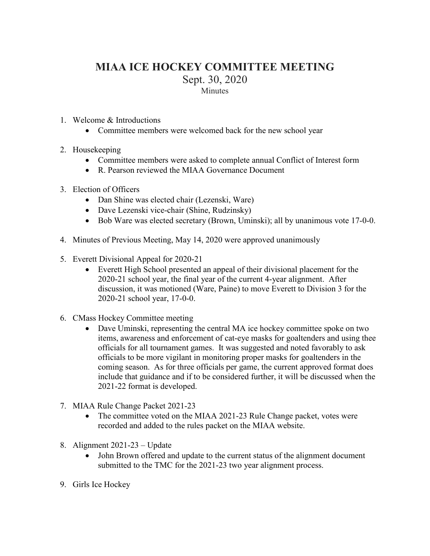## **MIAA ICE HOCKEY COMMITTEE MEETING** Sept. 30, 2020 Minutes

- 1. Welcome & Introductions
	- Committee members were welcomed back for the new school year
- 2. Housekeeping
	- Committee members were asked to complete annual Conflict of Interest form
	- R. Pearson reviewed the MIAA Governance Document
- 3. Election of Officers
	- Dan Shine was elected chair (Lezenski, Ware)
	- Dave Lezenski vice-chair (Shine, Rudzinsky)
	- Bob Ware was elected secretary (Brown, Uminski); all by unanimous vote 17-0-0.
- 4. Minutes of Previous Meeting, [May 14, 2020](http://miaa.net/gen/miaa_generated_bin/documents/basic_module/MIAA_Football_Committee_Meeting.pdf) were approved unanimously
- 5. Everett Divisional Appeal for 2020-21
	- Everett High School presented an appeal of their divisional placement for the 2020-21 school year, the final year of the current 4-year alignment. After discussion, it was motioned (Ware, Paine) to move Everett to Division 3 for the 2020-21 school year, 17-0-0.
- 6. CMass Hockey Committee meeting
	- Dave Uminski, representing the central MA ice hockey committee spoke on two items, awareness and enforcement of cat-eye masks for goaltenders and using thee officials for all tournament games. It was suggested and noted favorably to ask officials to be more vigilant in monitoring proper masks for goaltenders in the coming season. As for three officials per game, the current approved format does include that guidance and if to be considered further, it will be discussed when the 2021-22 format is developed.
- 7. MIAA Rule Change Packet 2021-23
	- The committee voted on the MIAA 2021-23 Rule Change packet, votes were recorded and added to the rules packet on the MIAA website.
- 8. Alignment 2021-23 Update
	- John Brown offered and update to the current status of the alignment document submitted to the TMC for the 2021-23 two year alignment process.
- 9. Girls Ice Hockey